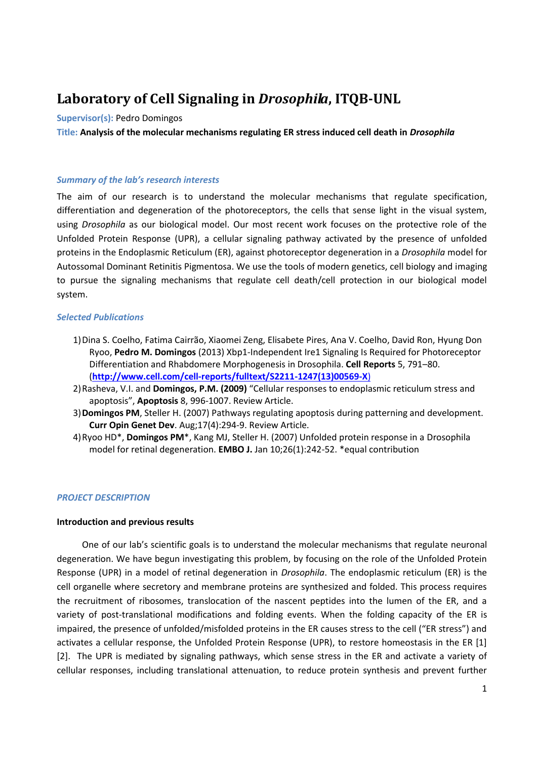# **Laboratory of Cell Signaling in** *Drosophila***, ITQB-UNL**

#### **Supervisor(s):** Pedro Domingos

**Title: Analysis of the molecular mechanisms regulating ER stress induced cell death in** *Drosophila*

#### *Summary of the lab's research interests*

The aim of our research is to understand the molecular mechanisms that regulate specification, differentiation and degeneration of the photoreceptors, the cells that sense light in the visual system, using *Drosophila* as our biological model. Our most recent work focuses on the protective role of the Unfolded Protein Response (UPR), a cellular signaling pathway activated by the presence of unfolded proteins in the Endoplasmic Reticulum (ER), against photoreceptor degeneration in a *Drosophila* model for Autossomal Dominant Retinitis Pigmentosa. We use the tools of modern genetics, cell biology and imaging to pursue the signaling mechanisms that regulate cell death/cell protection in our biological model system.

# *Selected Publications*

- 1)Dina S. Coelho, Fatima Cairrão, Xiaomei Zeng, Elisabete Pires, Ana V. Coelho, David Ron, Hyung Don Ryoo, **Pedro M. Domingos** (2013) Xbp1-Independent Ire1 Signaling Is Required for Photoreceptor Differentiation and Rhabdomere Morphogenesis in Drosophila. **Cell Reports** 5, 791–80. (**[http://www.cell.com/cell-reports/fulltext/S2211-1247\(13\)00569-X](http://www.cell.com/cell-reports/fulltext/S2211-1247(13)00569-X))**)
- 2)Rasheva, V.I. and **Domingos, P.M. (2009)** "Cellular responses to endoplasmic reticulum stress and apoptosis", **Apoptosis** 8, 996-1007. Review Article.
- 3)**Domingos PM**, Steller H. (2007) Pathways regulating apoptosis during patterning and development. **Curr Opin Genet Dev**. Aug;17(4):294-9. Review Article.
- 4)Ryoo HD\*, **Domingos PM**\*, Kang MJ, Steller H. (2007) Unfolded protein response in a Drosophila model for retinal degeneration. **EMBO J.** Jan 10;26(1):242-52. \*equal contribution

# *PROJECT DESCRIPTION*

# **Introduction and previous results**

One of our lab's scientific goals is to understand the molecular mechanisms that regulate neuronal degeneration. We have begun investigating this problem, by focusing on the role of the Unfolded Protein Response (UPR) in a model of retinal degeneration in *Drosophila*. The endoplasmic reticulum (ER) is the cell organelle where secretory and membrane proteins are synthesized and folded. This process requires the recruitment of ribosomes, translocation of the nascent peptides into the lumen of the ER, and a variety of post-translational modifications and folding events. When the folding capacity of the ER is impaired, the presence of unfolded/misfolded proteins in the ER causes stress to the cell ("ER stress") and activates a cellular response, the Unfolded Protein Response (UPR), to restore homeostasis in the ER [1] [2]. The UPR is mediated by signaling pathways, which sense stress in the ER and activate a variety of cellular responses, including translational attenuation, to reduce protein synthesis and prevent further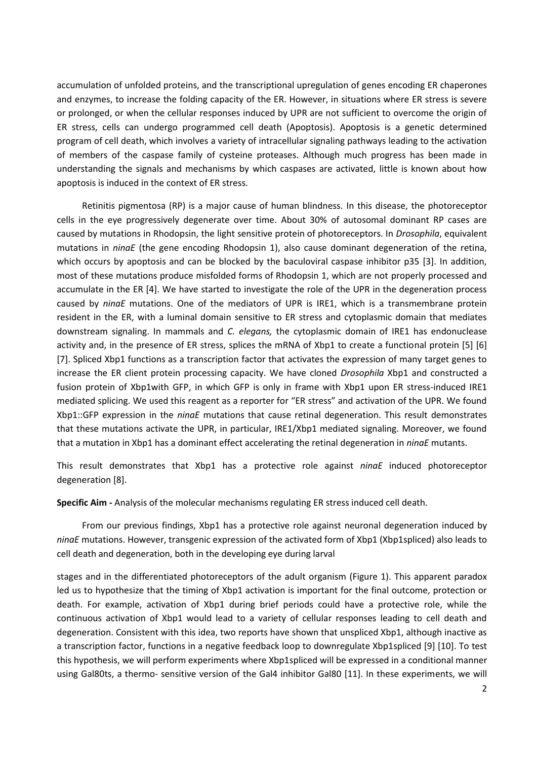accumulation of unfolded proteins, and the transcriptional upregulation of genes encoding ER chaperones and enzymes, to increase the folding capacity of the ER. However, in situations where ER stress is severe or prolonged, or when the cellular responses induced by UPR are not sufficient to overcome the origin of ER stress, cells can undergo programmed cell death (Apoptosis). Apoptosis is a genetic determined program of cell death, which involves a variety of intracellular signaling pathways leading to the activation of members of the caspase family of cysteine proteases. Although much progress has been made in understanding the signals and mechanisms by which caspases are activated, little is known about how apoptosis is induced in the context of ER stress.

Retinitis pigmentosa (RP) is a major cause of human blindness. In this disease, the photoreceptor cells in the eye progressively degenerate over time. About 30% of autosomal dominant RP cases are caused by mutations in Rhodopsin, the light sensitive protein of photoreceptors. In *Drosophila*, equivalent mutations in *ninaE* (the gene encoding Rhodopsin 1), also cause dominant degeneration of the retina, which occurs by apoptosis and can be blocked by the baculoviral caspase inhibitor p35 [3]. In addition, most of these mutations produce misfolded forms of Rhodopsin 1, which are not properly processed and accumulate in the ER [4]. We have started to investigate the role of the UPR in the degeneration process caused by *ninaE* mutations. One of the mediators of UPR is IRE1, which is a transmembrane protein resident in the ER, with a luminal domain sensitive to ER stress and cytoplasmic domain that mediates downstream signaling. In mammals and *C. elegans,* the cytoplasmic domain of IRE1 has endonuclease activity and, in the presence of ER stress, splices the mRNA of Xbp1 to create a functional protein [5] [6] [7]. Spliced Xbp1 functions as a transcription factor that activates the expression of many target genes to increase the ER client protein processing capacity. We have cloned *Drosophila* Xbp1 and constructed a fusion protein of Xbp1with GFP, in which GFP is only in frame with Xbp1 upon ER stress-induced IRE1 mediated splicing. We used this reagent as a reporter for "ER stress" and activation of the UPR. We found Xbp1::GFP expression in the *ninaE* mutations that cause retinal degeneration. This result demonstrates that these mutations activate the UPR, in particular, IRE1/Xbp1 mediated signaling. Moreover, we found that a mutation in Xbp1 has a dominant effect accelerating the retinal degeneration in *ninaE* mutants.

This result demonstrates that Xbp1 has a protective role against *ninaE* induced photoreceptor degeneration [8].

**Specific Aim -** Analysis of the molecular mechanisms regulating ER stress induced cell death.

From our previous findings, Xbp1 has a protective role against neuronal degeneration induced by *ninaE* mutations. However, transgenic expression of the activated form of Xbp1 (Xbp1spliced) also leads to cell death and degeneration, both in the developing eye during larval

stages and in the differentiated photoreceptors of the adult organism (Figure 1). This apparent paradox led us to hypothesize that the timing of Xbp1 activation is important for the final outcome, protection or death. For example, activation of Xbp1 during brief periods could have a protective role, while the continuous activation of Xbp1 would lead to a variety of cellular responses leading to cell death and degeneration. Consistent with this idea, two reports have shown that unspliced Xbp1, although inactive as a transcription factor, functions in a negative feedback loop to downregulate Xbp1spliced [9] [10]. To test this hypothesis, we will perform experiments where Xbp1spliced will be expressed in a conditional manner using Gal80ts, a thermo- sensitive version of the Gal4 inhibitor Gal80 [11]. In these experiments, we will